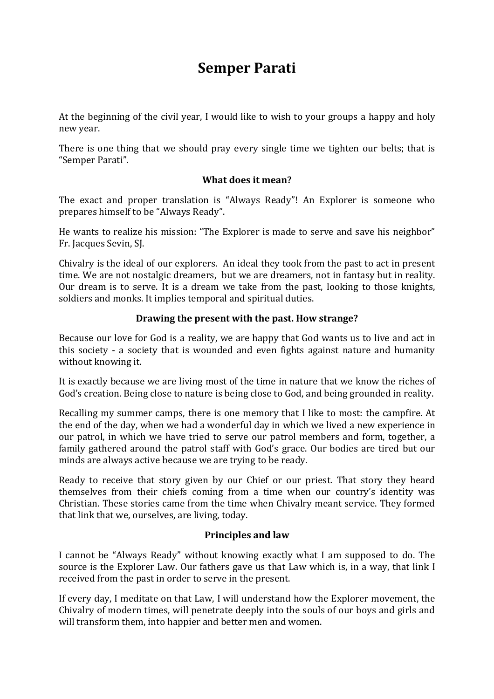## **Semper Parati**

At the beginning of the civil year, I would like to wish to your groups a happy and holy new year.

There is one thing that we should pray every single time we tighten our belts; that is "Semper Parati".

## **What does it mean?**

The exact and proper translation is "Always Ready"! An Explorer is someone who prepares himself to be "Always Ready".

He wants to realize his mission: "The Explorer is made to serve and save his neighbor" Fr. Jacques Sevin, SJ.

Chivalry is the ideal of our explorers. An ideal they took from the past to act in present time. We are not nostalgic dreamers, but we are dreamers, not in fantasy but in reality. Our dream is to serve. It is a dream we take from the past, looking to those knights, soldiers and monks. It implies temporal and spiritual duties.

## **Drawing the present with the past. How strange?**

Because our love for God is a reality, we are happy that God wants us to live and act in this society - a society that is wounded and even fights against nature and humanity without knowing it.

It is exactly because we are living most of the time in nature that we know the riches of God's creation. Being close to nature is being close to God, and being grounded in reality.

Recalling my summer camps, there is one memory that I like to most: the campfire. At the end of the day, when we had a wonderful day in which we lived a new experience in our patrol, in which we have tried to serve our patrol members and form, together, a family gathered around the patrol staff with God's grace. Our bodies are tired but our minds are always active because we are trying to be ready.

Ready to receive that story given by our Chief or our priest. That story they heard themselves from their chiefs coming from a time when our country's identity was Christian. These stories came from the time when Chivalry meant service. They formed that link that we, ourselves, are living, today.

## **Principles and law**

I cannot be "Always Ready" without knowing exactly what I am supposed to do. The source is the Explorer Law. Our fathers gave us that Law which is, in a way, that link I received from the past in order to serve in the present.

If every day, I meditate on that Law, I will understand how the Explorer movement, the Chivalry of modern times, will penetrate deeply into the souls of our boys and girls and will transform them, into happier and better men and women.